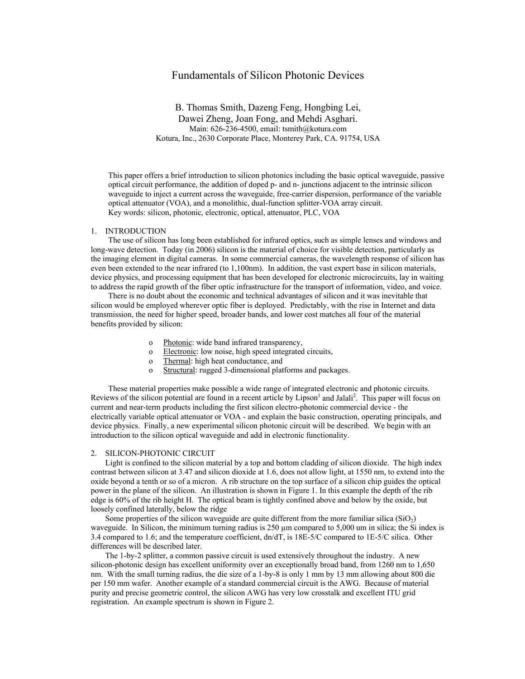# Fundamentals of Silicon Photonic Devices

B. Thomas Smith, Dazeng Feng, Hongbing Lei, Dawei Zheng, Joan Fong, and Mehdi Asghari. Main: 626-236-4500, email: tsmith@kotura.com Kotura, Inc., 2630 Corporate Place, Monterey Park, CA. 91754, USA

This paper offers a brief introduction to silicon photonics including the basic optical waveguide, passive optical circuit performance, the addition of doped p- and n- junctions adjacent to the intrinsic silicon waveguide to inject a current across the waveguide, free-carrier dispersion, performance of the variable optical attenuator (VOA), and a monolithic, dual-function splitter-VOA array circuit. Key words: silicon, photonic, electronic, optical, attenuator, PLC, VOA

## 1. INTRODUCTION

The use of silicon has long been established for infrared optics, such as simple lenses and windows and long-wave detection. Today (in 2006) silicon is the material of choice for visible detection, particularly as the imaging element in digital cameras. In some commercial cameras, the wavelength response of silicon has even been extended to the near infrared (to 1,100nm). In addition, the vast expert base in silicon materials, device physics, and processing equipment that has been developed for electronic microcircuits, lay in waiting to address the rapid growth of the fiber optic infrastructure for the transport of information, video, and voice.

There is no doubt about the economic and technical advantages of silicon and it was inevitable that silicon would be employed wherever optic fiber is deployed. Predictably, with the rise in Internet and data transmission, the need for higher speed, broader bands, and lower cost matches all four of the material benefits provided by silicon:

- o Photonic: wide band infrared transparency,
- o Electronic: low noise, high speed integrated circuits,
- o Thermal: high heat conductance, and
- o Structural: rugged 3-dimensional platforms and packages.

These material properties make possible a wide range of integrated electronic and photonic circuits. Reviews of the silicon potential are found in a recent article by  $Lipson<sup>1</sup>$  and Jalali<sup>2</sup>. This paper will focus on current and near-term products including the first silicon electro-photonic commercial device - the electrically variable optical attenuator or VOA - and explain the basic construction, operating principals, and device physics. Finally, a new experimental silicon photonic circuit will be described. We begin with an introduction to the silicon optical waveguide and add in electronic functionality.

#### 2. SILICON-PHOTONIC CIRCUIT

Light is confined to the silicon material by a top and bottom cladding of silicon dioxide. The high index contrast between silicon at 3.47 and silicon dioxide at 1.6, does not allow light, at 1550 nm, to extend into the oxide beyond a tenth or so of a micron. A rib structure on the top surface of a silicon chip guides the optical power in the plane of the silicon. An illustration is shown in Figure 1. In this example the depth of the rib edge is 60% of the rib height H. The optical beam is tightly confined above and below by the oxide, but loosely confined laterally, below the ridge

Some properties of the silicon waveguide are quite different from the more familiar silica  $(SiO<sub>2</sub>)$ waveguide. In Silicon, the minimum turning radius is 250 µm compared to 5,000 um in silica; the Si index is 3.4 compared to 1.6; and the temperature coefficient, dn/dT, is 18E-5/C compared to 1E-5/C silica. Other differences will be described later.

The 1-by-2 splitter, a common passive circuit is used extensively throughout the industry. A new silicon-photonic design has excellent uniformity over an exceptionally broad band, from 1260 nm to 1,650 nm. With the small turning radius, the die size of a 1-by-8 is only 1 mm by 13 mm allowing about 800 die per 150 mm wafer. Another example of a standard commercial circuit is the AWG. Because of material purity and precise geometric control, the silicon AWG has very low crosstalk and excellent ITU grid registration. An example spectrum is shown in Figure 2.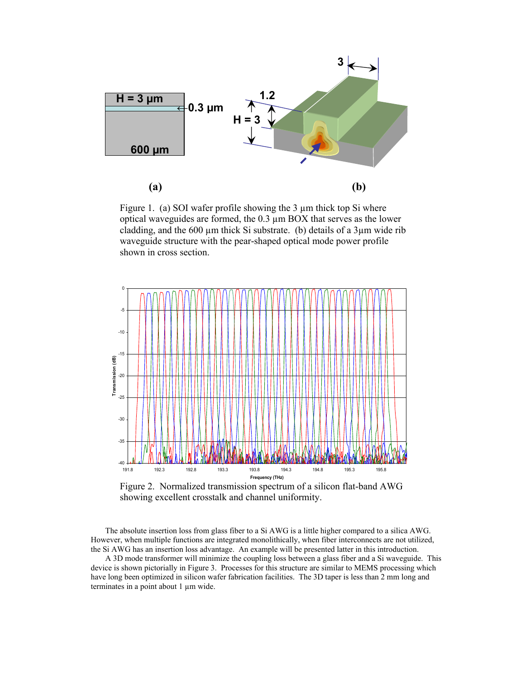

Figure 1. (a) SOI wafer profile showing the 3  $\mu$ m thick top Si where optical waveguides are formed, the 0.3 µm BOX that serves as the lower cladding, and the  $600 \mu m$  thick Si substrate. (b) details of a  $3 \mu m$  wide rib waveguide structure with the pear-shaped optical mode power profile shown in cross section.



Figure 2. Normalized transmission spectrum of a silicon flat-band AWG showing excellent crosstalk and channel uniformity.

The absolute insertion loss from glass fiber to a Si AWG is a little higher compared to a silica AWG. However, when multiple functions are integrated monolithically, when fiber interconnects are not utilized, the Si AWG has an insertion loss advantage. An example will be presented latter in this introduction.

A 3D mode transformer will minimize the coupling loss between a glass fiber and a Si waveguide. This device is shown pictorially in Figure 3. Processes for this structure are similar to MEMS processing which have long been optimized in silicon wafer fabrication facilities. The 3D taper is less than 2 mm long and terminates in a point about 1 µm wide.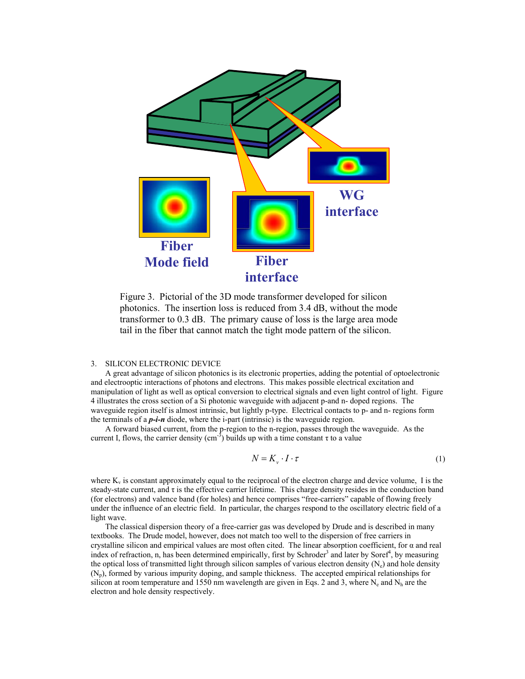

Figure 3. Pictorial of the 3D mode transformer developed for silicon photonics. The insertion loss is reduced from 3.4 dB, without the mode transformer to 0.3 dB. The primary cause of loss is the large area mode tail in the fiber that cannot match the tight mode pattern of the silicon.

### 3. SILICON ELECTRONIC DEVICE

A great advantage of silicon photonics is its electronic properties, adding the potential of optoelectronic and electrooptic interactions of photons and electrons. This makes possible electrical excitation and manipulation of light as well as optical conversion to electrical signals and even light control of light. Figure 4 illustrates the cross section of a Si photonic waveguide with adjacent p-and n- doped regions. The waveguide region itself is almost intrinsic, but lightly p-type. Electrical contacts to p- and n- regions form the terminals of a *p-i-n* diode, where the i-part (intrinsic) is the waveguide region.

A forward biased current, from the p-region to the n-region, passes through the waveguide. As the current I, flows, the carrier density (cm<sup>-3</sup>) builds up with a time constant  $\tau$  to a value

$$
N = K_v \cdot I \cdot \tau \tag{1}
$$

where  $K_v$  is constant approximately equal to the reciprocal of the electron charge and device volume, I is the steady-state current, and  $\tau$  is the effective carrier lifetime. This charge density resides in the conduction band (for electrons) and valence band (for holes) and hence comprises "free-carriers" capable of flowing freely under the influence of an electric field. In particular, the charges respond to the oscillatory electric field of a light wave.

The classical dispersion theory of a free-carrier gas was developed by Drude and is described in many textbooks. The Drude model, however, does not match too well to the dispersion of free carriers in crystalline silicon and empirical values are most often cited. The linear absorption coefficient, for  $\alpha$  and real index of refraction, n, has been determined empirically, first by Schroder<sup>3</sup> and later by Soref<sup>4</sup>, by measuring the optical loss of transmitted light through silicon samples of various electron density  $(N_e)$  and hole density (Np), formed by various impurity doping, and sample thickness. The accepted empirical relationships for silicon at room temperature and 1550 nm wavelength are given in Eqs. 2 and 3, where  $N_e$  and  $N_h$  are the electron and hole density respectively.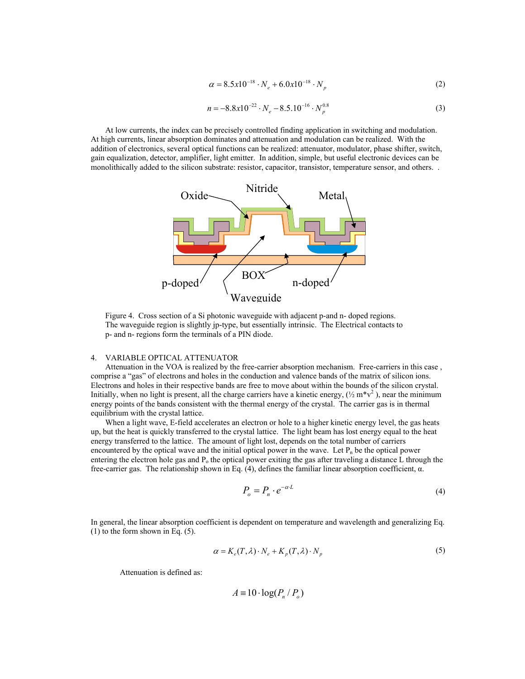$$
\alpha = 8.5x10^{-18} \cdot N_e + 6.0x10^{-18} \cdot N_p \tag{2}
$$

$$
n = -8.8 \times 10^{-22} \cdot N_e - 8.5.10^{-16} \cdot N_p^{0.8}
$$
 (3)

At low currents, the index can be precisely controlled finding application in switching and modulation. At high currents, linear absorption dominates and attenuation and modulation can be realized. With the addition of electronics, several optical functions can be realized: attenuator, modulator, phase shifter, switch, gain equalization, detector, amplifier, light emitter. In addition, simple, but useful electronic devices can be monolithically added to the silicon substrate: resistor, capacitor, transistor, temperature sensor, and others. .



Figure 4. Cross section of a Si photonic waveguide with adjacent p-and n- doped regions. The waveguide region is slightly jp-type, but essentially intrinsic. The Electrical contacts to p- and n- regions form the terminals of a PIN diode.

#### 4. VARIABLE OPTICAL ATTENUATOR

Attenuation in the VOA is realized by the free-carrier absorption mechanism. Free-carriers in this case , comprise a "gas" of electrons and holes in the conduction and valence bands of the matrix of silicon ions. Electrons and holes in their respective bands are free to move about within the bounds of the silicon crystal. Initially, when no light is present, all the charge carriers have a kinetic energy,  $(\frac{1}{2}m*v^2)$ , near the minimum energy points of the bands consistent with the thermal energy of the crystal. The carrier gas is in thermal equilibrium with the crystal lattice.

When a light wave, E-field accelerates an electron or hole to a higher kinetic energy level, the gas heats up, but the heat is quickly transferred to the crystal lattice. The light beam has lost energy equal to the heat energy transferred to the lattice. The amount of light lost, depends on the total number of carriers encountered by the optical wave and the initial optical power in the wave. Let  $P_n$  be the optical power entering the electron hole gas and  $P_0$  the optical power exiting the gas after traveling a distance L through the free-carrier gas. The relationship shown in Eq. (4), defines the familiar linear absorption coefficient, α.

$$
P_o = P_n \cdot e^{-\alpha \cdot L} \tag{4}
$$

In general, the linear absorption coefficient is dependent on temperature and wavelength and generalizing Eq. (1) to the form shown in Eq. (5).

$$
\alpha = K_e(T, \lambda) \cdot N_e + K_p(T, \lambda) \cdot N_p \tag{5}
$$

Attenuation is defined as:

$$
A \equiv 10 \cdot \log(P_n \, / \, P_o)
$$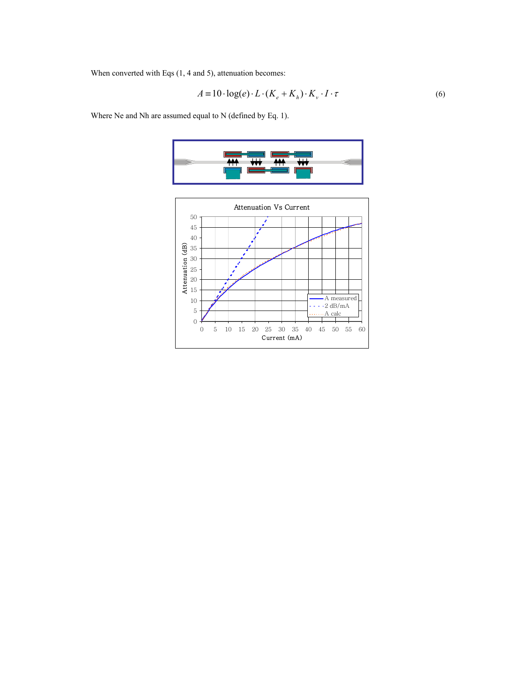When converted with Eqs (1, 4 and 5), attenuation becomes:

$$
A = 10 \cdot \log(e) \cdot L \cdot (K_e + K_h) \cdot K_v \cdot I \cdot \tau
$$
 (6)

Where Ne and Nh are assumed equal to N (defined by Eq. 1).



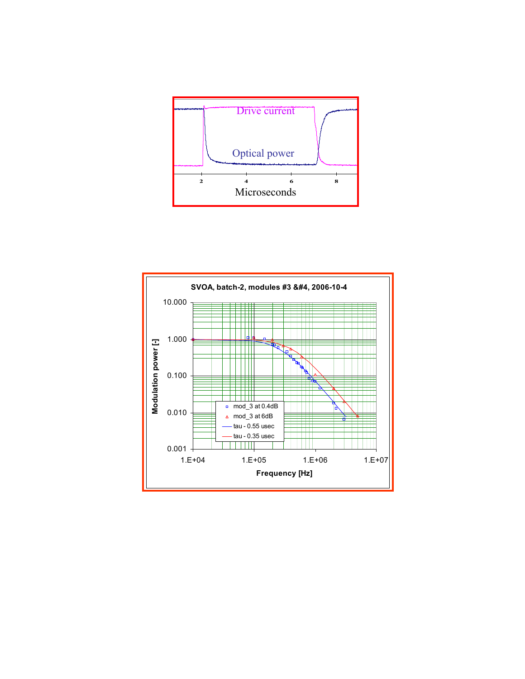